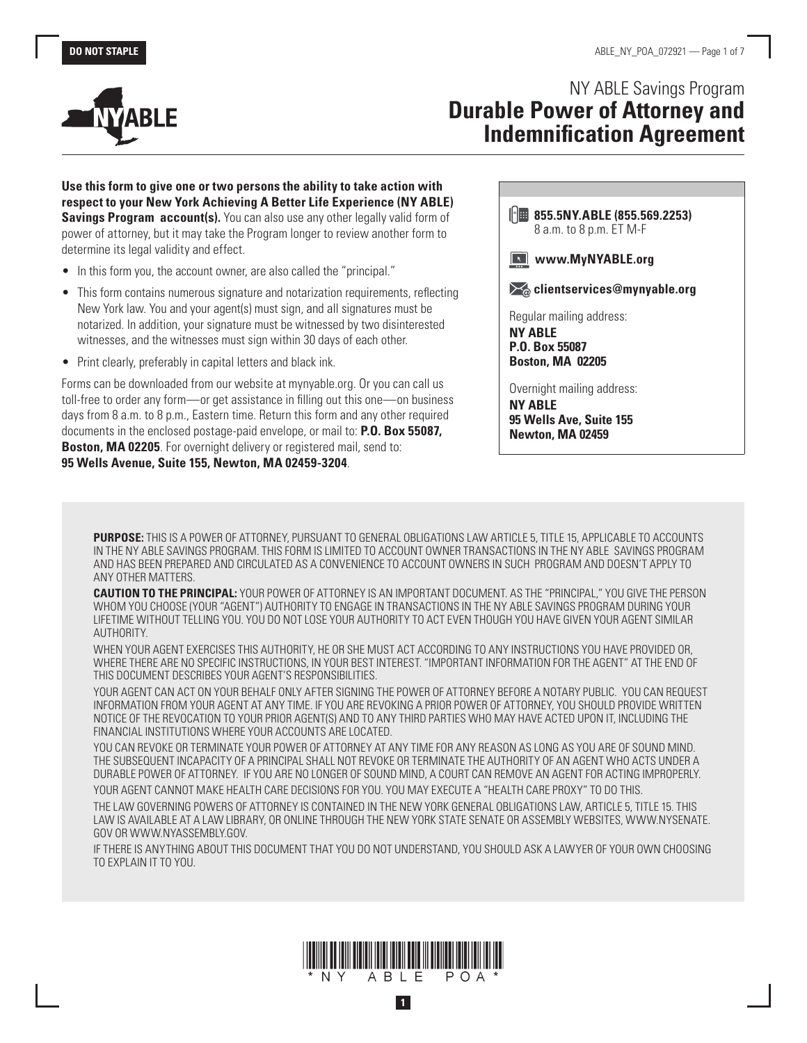



# NY ABLE Savings Program **Durable Power of Attorney and Indemnification Agreement**

**Use this form to give one or two persons the ability to take action with respect to your New York Achieving A Better Life Experience (NY ABLE) Savings Program account(s).** You can also use any other legally valid form of power of attorney, but it may take the Program longer to review another form to determine its legal validity and effect.

- In this form you, the account owner, are also called the "principal."
- This form contains numerous signature and notarization requirements, reflecting New York law. You and your agent(s) must sign, and all signatures must be notarized. In addition, your signature must be witnessed by two disinterested witnesses, and the witnesses must sign within 30 days of each other.
- Print clearly, preferably in capital letters and black ink.

Forms can be downloaded from our website at mynyable.org. Or you can call us toll-free to order any form—or get assistance in filling out this one—on business days from 8 a.m. to 8 p.m., Eastern time. Return this form and any other required documents in the enclosed postage-paid envelope, or mail to: **P.O. Box 55087, Boston, MA 02205**. For overnight delivery or registered mail, send to: **95 Wells Avenue, Suite 155, Newton, MA 02459-3204**.

**855.5NY.ABLE (855.569.2253)** 8 a.m. to 8 p.m. ET M-F

**WWW.MyNYABLE.org** 

 $\mathcal{F}_{\omega}$  **clientservices@mynyable.org** 

Regular mailing address: **NY ABLE P.O. Box 55087 Boston, MA 02205** 

Overnight mailing address: **NY ABLE 95 Wells Ave, Suite 155 Newton, MA 02459**

**PURPOSE:** THIS IS A POWER OF ATTORNEY, PURSUANT TO GENERAL OBLIGATIONS LAW ARTICLE 5, TITLE 15, APPLICABLE TO ACCOUNTS IN THE NY ABLE SAVINGS PROGRAM. THIS FORM IS LIMITED TO ACCOUNT OWNER TRANSACTIONS IN THE NY ABLE SAVINGS PROGRAM AND HAS BEEN PREPARED AND CIRCULATED AS A CONVENIENCE TO ACCOUNT OWNERS IN SUCH PROGRAM AND DOESN'T APPLY TO ANY OTHER MATTERS.

**CAUTION TO THE PRINCIPAL:** YOUR POWER OF ATTORNEY IS AN IMPORTANT DOCUMENT. AS THE "PRINCIPAL," YOU GIVE THE PERSON WHOM YOU CHOOSE (YOUR "AGENT") AUTHORITY TO ENGAGE IN TRANSACTIONS IN THE NY ABLE SAVINGS PROGRAM DURING YOUR LIFETIME WITHOUT TELLING YOU. YOU DO NOT LOSE YOUR AUTHORITY TO ACT EVEN THOUGH YOU HAVE GIVEN YOUR AGENT SIMILAR AUTHORITY.

WHEN YOUR AGENT EXERCISES THIS AUTHORITY, HE OR SHE MUST ACT ACCORDING TO ANY INSTRUCTIONS YOU HAVE PROVIDED OR, WHERE THERE ARE NO SPECIFIC INSTRUCTIONS, IN YOUR BEST INTEREST. "IMPORTANT INFORMATION FOR THE AGENT" AT THE END OF THIS DOCUMENT DESCRIBES YOUR AGENT'S RESPONSIBILITIES.

YOUR AGENT CAN ACT ON YOUR BEHALF ONLY AFTER SIGNING THE POWER OF ATTORNEY BEFORE A NOTARY PUBLIC. YOU CAN REQUEST INFORMATION FROM YOUR AGENT AT ANY TIME. IF YOU ARE REVOKING A PRIOR POWER OF ATTORNEY, YOU SHOULD PROVIDE WRITTEN NOTICE OF THE REVOCATION TO YOUR PRIOR AGENT(S) AND TO ANY THIRD PARTIES WHO MAY HAVE ACTED UPON IT, INCLUDING THE FINANCIAL INSTITUTIONS WHERE YOUR ACCOUNTS ARE LOCATED.

YOU CAN REVOKE OR TERMINATE YOUR POWER OF ATTORNEY AT ANY TIME FOR ANY REASON AS LONG AS YOU ARE OF SOUND MIND. THE SUBSEQUENT INCAPACITY OF A PRINCIPAL SHALL NOT REVOKE OR TERMINATE THE AUTHORITY OF AN AGENT WHO ACTS UNDER A DURABLE POWER OF ATTORNEY. IF YOU ARE NO LONGER OF SOUND MIND, A COURT CAN REMOVE AN AGENT FOR ACTING IMPROPERLY.

YOUR AGENT CANNOT MAKE HEALTH CARE DECISIONS FOR YOU. YOU MAY EXECUTE A "HEALTH CARE PROXY" TO DO THIS. THE LAW GOVERNING POWERS OF ATTORNEY IS CONTAINED IN THE NEW YORK GENERAL OBLIGATIONS LAW, ARTICLE 5, TITLE 15. THIS LAW IS AVAILABLE AT A LAW LIBRARY, OR ONLINE THROUGH THE NEW YORK STATE SENATE OR ASSEMBLY WEBSITES, WWW.NYSENATE. GOV OR WWW.NYASSEMBLY.GOV.

IF THERE IS ANYTHING ABOUT THIS DOCUMENT THAT YOU DO NOT UNDERSTAND, YOU SHOULD ASK A LAWYER OF YOUR OWN CHOOSING TO EXPLAIN IT TO YOU.



**1**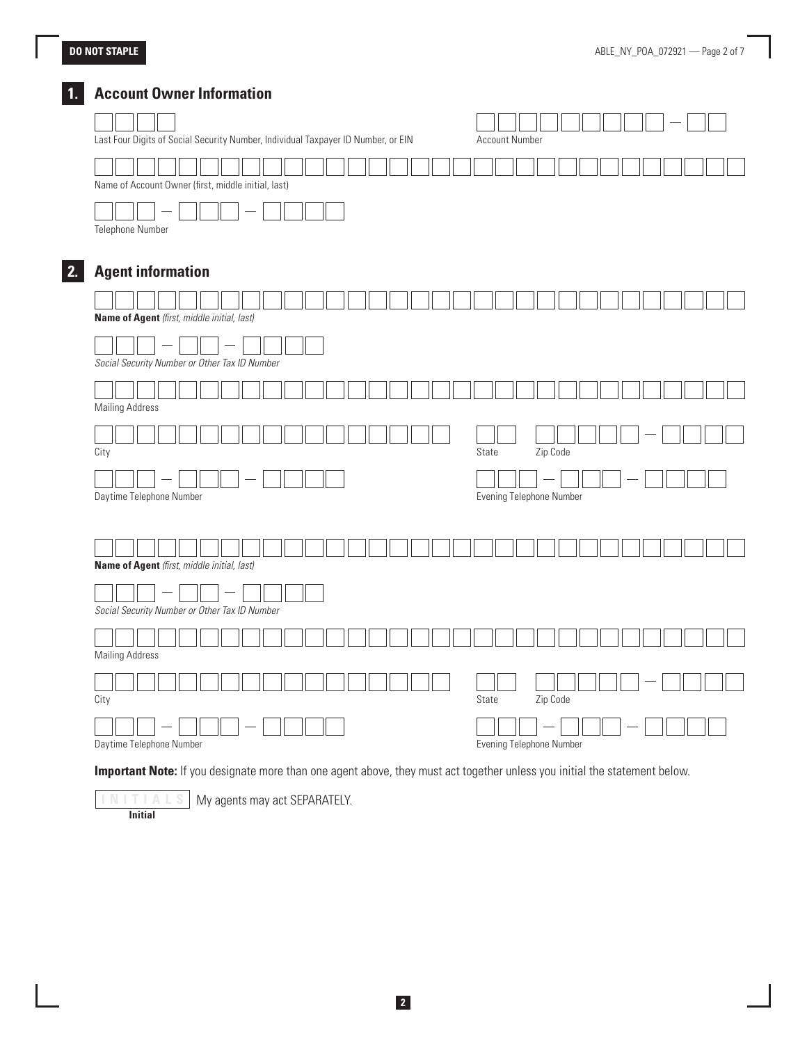## **DO NOT STAPLE**

# **1. Account Owner Information**

| Last Four Digits of Social Security Number, Individual Taxpayer ID Number, or EIN | <b>Account Number</b>    |  |
|-----------------------------------------------------------------------------------|--------------------------|--|
| Name of Account Owner (first, middle initial, last)                               |                          |  |
|                                                                                   |                          |  |
| Telephone Number                                                                  |                          |  |
|                                                                                   |                          |  |
| <b>Agent information</b>                                                          |                          |  |
|                                                                                   |                          |  |
| Name of Agent (first, middle initial, last)                                       |                          |  |
|                                                                                   |                          |  |
| Social Security Number or Other Tax ID Number                                     |                          |  |
|                                                                                   |                          |  |
| <b>Mailing Address</b>                                                            |                          |  |
|                                                                                   |                          |  |
| City                                                                              | State<br>Zip Code        |  |
|                                                                                   |                          |  |
|                                                                                   | Evening Telephone Number |  |
| Daytime Telephone Number                                                          |                          |  |
|                                                                                   |                          |  |
|                                                                                   |                          |  |
| Name of Agent (first, middle initial, last)                                       |                          |  |
|                                                                                   |                          |  |
| Social Security Number or Other Tax ID Number                                     |                          |  |
|                                                                                   |                          |  |
| <b>Mailing Address</b>                                                            |                          |  |
|                                                                                   |                          |  |
| City                                                                              | Zip Code<br>State        |  |
|                                                                                   |                          |  |

**INITIALS** My agents may act SEPARATELY.

**Initial**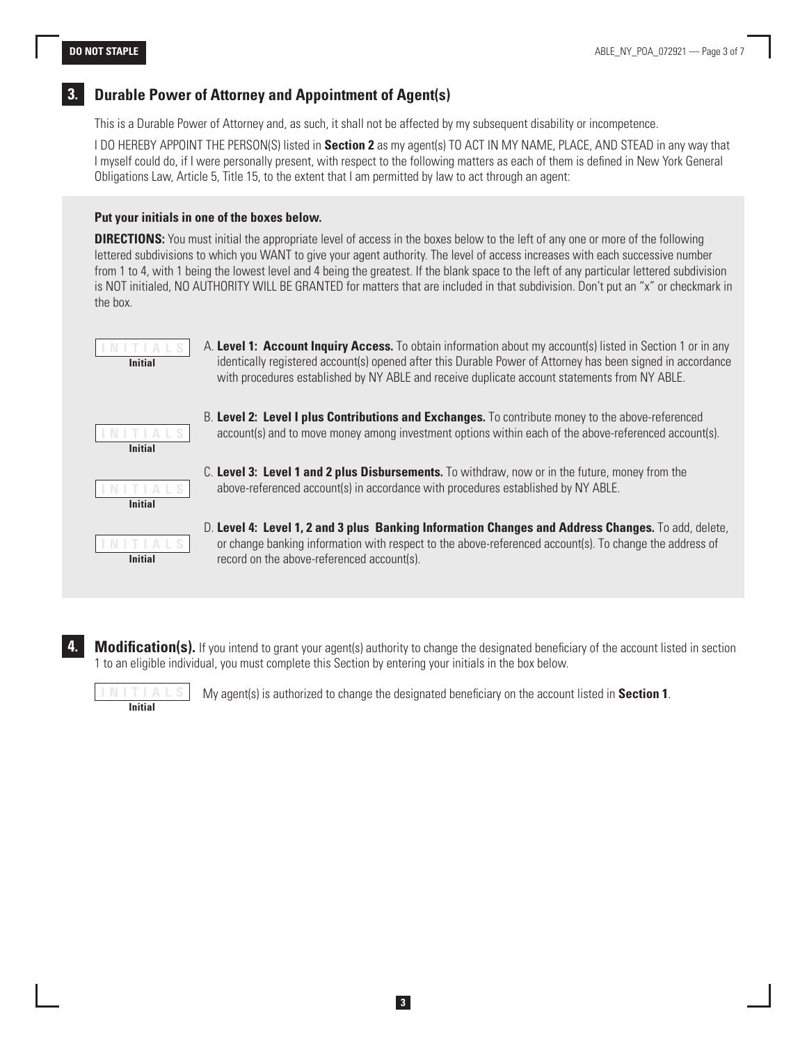### **3. Durable Power of Attorney and Appointment of Agent(s)**

This is a Durable Power of Attorney and, as such, it shall not be affected by my subsequent disability or incompetence.

I DO HEREBY APPOINT THE PERSON(S) listed in **Section 2** as my agent(s) TO ACT IN MY NAME, PLACE, AND STEAD in any way that I myself could do, if I were personally present, with respect to the following matters as each of them is defined in New York General Obligations Law, Article 5, Title 15, to the extent that I am permitted by law to act through an agent:

#### **Put your initials in one of the boxes below.**

**DIRECTIONS:** You must initial the appropriate level of access in the boxes below to the left of any one or more of the following lettered subdivisions to which you WANT to give your agent authority. The level of access increases with each successive number from 1 to 4, with 1 being the lowest level and 4 being the greatest. If the blank space to the left of any particular lettered subdivision is NOT initialed, NO AUTHORITY WILL BE GRANTED for matters that are included in that subdivision. Don't put an "x" or checkmark in the box.



A. **Level 1: Account Inquiry Access.** To obtain information about my account(s) listed in Section 1 or in any identically registered account(s) opened after this Durable Power of Attorney has been signed in accordance with procedures established by NY ABLE and receive duplicate account statements from NY ABLE.



C. **Level 3: Level 1 and 2 plus Disbursements.** To withdraw, now or in the future, money from the above-referenced account(s) in accordance with procedures established by NY ABLE.

B. **Level 2: Level I plus Contributions and Exchanges.** To contribute money to the above-referenced account(s) and to move money among investment options within each of the above-referenced account(s).



- D. **Level 4: Level 1, 2 and 3 plus Banking Information Changes and Address Changes.** To add, delete, or change banking information with respect to the above-referenced account(s). To change the address of record on the above-referenced account(s).
- **Modification(s).** If you intend to grant your agent(s) authority to change the designated beneficiary of the account listed in section 1 to an eligible individual, you must complete this Section by entering your initials in the box below.

**3**



**INy agent(s) is authorized to change the designated beneficiary on the account listed in <b>Section 1**.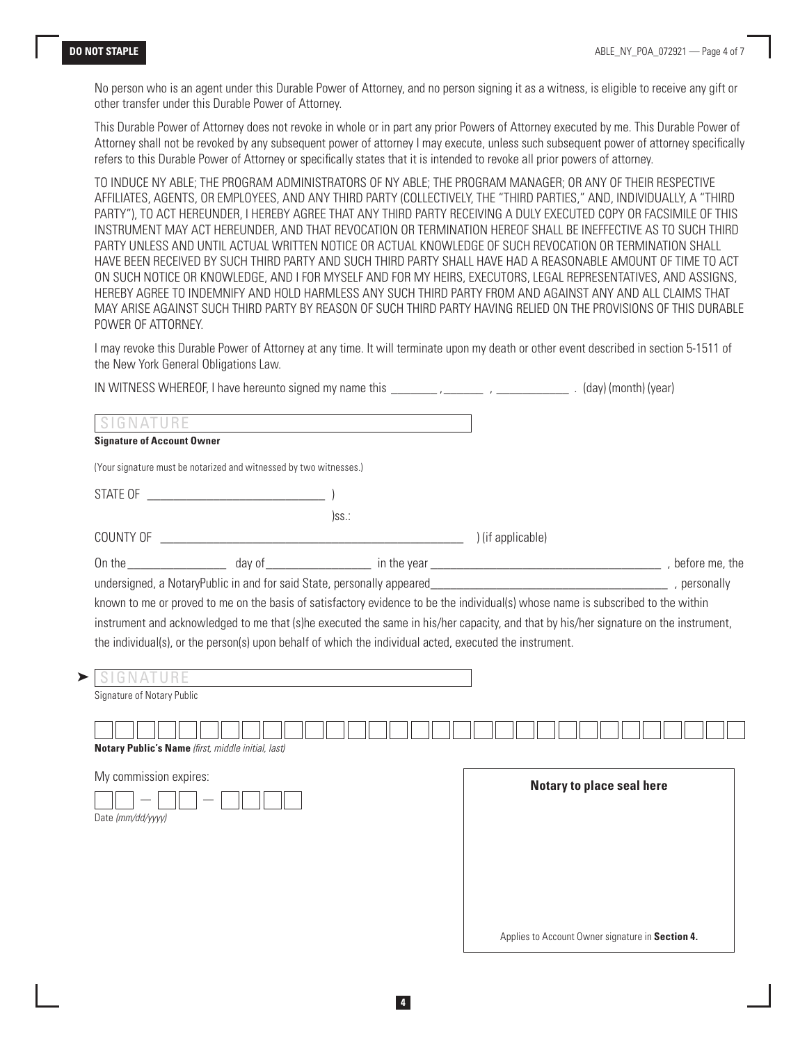No person who is an agent under this Durable Power of Attorney, and no person signing it as a witness, is eligible to receive any gift or other transfer under this Durable Power of Attorney.

This Durable Power of Attorney does not revoke in whole or in part any prior Powers of Attorney executed by me. This Durable Power of Attorney shall not be revoked by any subsequent power of attorney I may execute, unless such subsequent power of attorney specifically refers to this Durable Power of Attorney or specifically states that it is intended to revoke all prior powers of attorney.

TO INDUCE NY ABLE; THE PROGRAM ADMINISTRATORS OF NY ABLE; THE PROGRAM MANAGER; OR ANY OF THEIR RESPECTIVE AFFILIATES, AGENTS, OR EMPLOYEES, AND ANY THIRD PARTY (COLLECTIVELY, THE "THIRD PARTIES," AND, INDIVIDUALLY, A "THIRD PARTY"), TO ACT HEREUNDER, I HEREBY AGREE THAT ANY THIRD PARTY RECEIVING A DULY EXECUTED COPY OR FACSIMILE OF THIS INSTRUMENT MAY ACT HEREUNDER, AND THAT REVOCATION OR TERMINATION HEREOF SHALL BE INEFFECTIVE AS TO SUCH THIRD PARTY UNLESS AND UNTIL ACTUAL WRITTEN NOTICE OR ACTUAL KNOWLEDGE OF SUCH REVOCATION OR TERMINATION SHALL HAVE BEEN RECEIVED BY SUCH THIRD PARTY AND SUCH THIRD PARTY SHALL HAVE HAD A REASONABLE AMOUNT OF TIME TO ACT ON SUCH NOTICE OR KNOWLEDGE, AND I FOR MYSELF AND FOR MY HEIRS, EXECUTORS, LEGAL REPRESENTATIVES, AND ASSIGNS, HEREBY AGREE TO INDEMNIFY AND HOLD HARMLESS ANY SUCH THIRD PARTY FROM AND AGAINST ANY AND ALL CLAIMS THAT MAY ARISE AGAINST SUCH THIRD PARTY BY REASON OF SUCH THIRD PARTY HAVING RELIED ON THE PROVISIONS OF THIS DURABLE POWER OF ATTORNEY.

I may revoke this Durable Power of Attorney at any time. It will terminate upon my death or other event described in section 5-1511 of the New York General Obligations Law.

| <b>Signature of Account Owner</b><br>(Your signature must be notarized and witnessed by two witnesses.) | the control of the control of the control of the control of the control of the control of the control of the control of the control of the control of the control of the control of the control of the control of the control<br> ss: |                                                                                                                                                                                                                                                                                                                                                                                                                  |
|---------------------------------------------------------------------------------------------------------|---------------------------------------------------------------------------------------------------------------------------------------------------------------------------------------------------------------------------------------|------------------------------------------------------------------------------------------------------------------------------------------------------------------------------------------------------------------------------------------------------------------------------------------------------------------------------------------------------------------------------------------------------------------|
|                                                                                                         |                                                                                                                                                                                                                                       |                                                                                                                                                                                                                                                                                                                                                                                                                  |
|                                                                                                         |                                                                                                                                                                                                                                       |                                                                                                                                                                                                                                                                                                                                                                                                                  |
|                                                                                                         |                                                                                                                                                                                                                                       |                                                                                                                                                                                                                                                                                                                                                                                                                  |
|                                                                                                         |                                                                                                                                                                                                                                       |                                                                                                                                                                                                                                                                                                                                                                                                                  |
|                                                                                                         |                                                                                                                                                                                                                                       |                                                                                                                                                                                                                                                                                                                                                                                                                  |
|                                                                                                         |                                                                                                                                                                                                                                       |                                                                                                                                                                                                                                                                                                                                                                                                                  |
|                                                                                                         |                                                                                                                                                                                                                                       |                                                                                                                                                                                                                                                                                                                                                                                                                  |
|                                                                                                         |                                                                                                                                                                                                                                       |                                                                                                                                                                                                                                                                                                                                                                                                                  |
|                                                                                                         |                                                                                                                                                                                                                                       |                                                                                                                                                                                                                                                                                                                                                                                                                  |
|                                                                                                         |                                                                                                                                                                                                                                       |                                                                                                                                                                                                                                                                                                                                                                                                                  |
|                                                                                                         |                                                                                                                                                                                                                                       |                                                                                                                                                                                                                                                                                                                                                                                                                  |
|                                                                                                         |                                                                                                                                                                                                                                       |                                                                                                                                                                                                                                                                                                                                                                                                                  |
|                                                                                                         | Notary Public's Name (first, middle initial, last)<br>My commission expires:                                                                                                                                                          | known to me or proved to me on the basis of satisfactory evidence to be the individual(s) whose name is subscribed to the within<br>instrument and acknowledged to me that (s)he executed the same in his/her capacity, and that by his/her signature on the instrument,<br>the individual(s), or the person(s) upon behalf of which the individual acted, executed the instrument.<br>Notary to place seal here |

Applies to Account Owner signature in **Section 4.**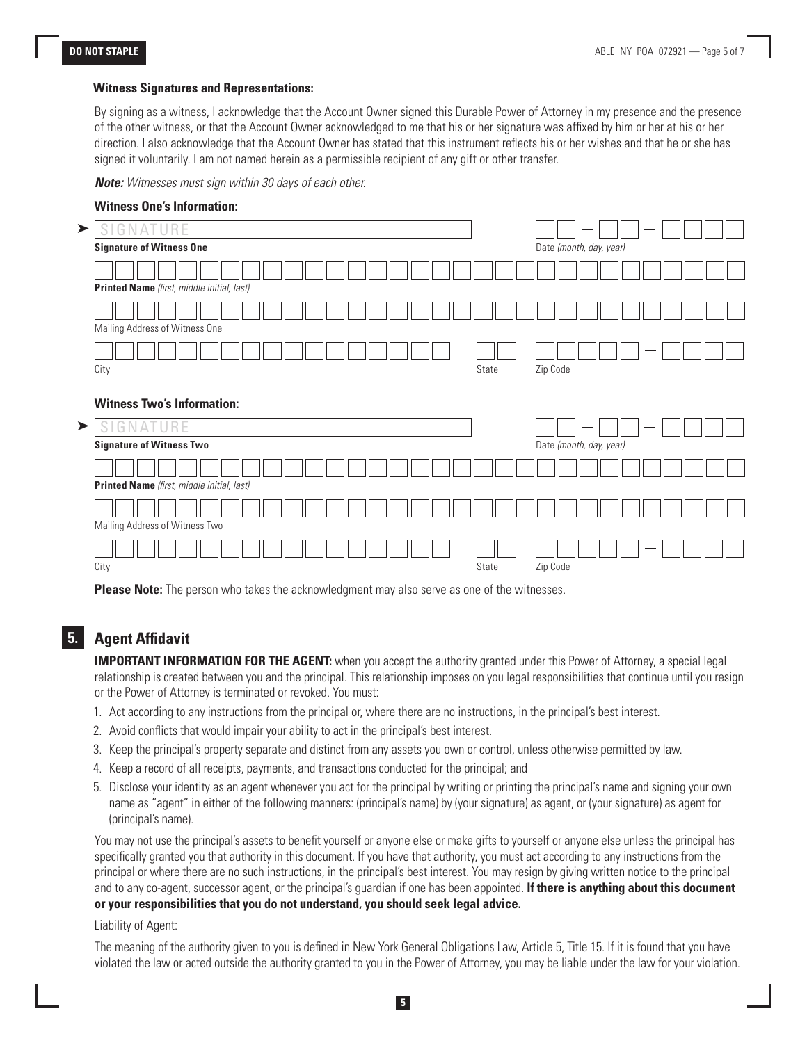#### **Witness Signatures and Representations:**

By signing as a witness, I acknowledge that the Account Owner signed this Durable Power of Attorney in my presence and the presence of the other witness, or that the Account Owner acknowledged to me that his or her signature was affixed by him or her at his or her direction. I also acknowledge that the Account Owner has stated that this instrument reflects his or her wishes and that he or she has signed it voluntarily. I am not named herein as a permissible recipient of any gift or other transfer.

*Note: Witnesses must sign within 30 days of each other.*

| ➤ | NATURE<br>S<br>U                                        |                         |
|---|---------------------------------------------------------|-------------------------|
|   | <b>Signature of Witness One</b>                         | Date (month, day, year) |
|   |                                                         |                         |
|   | Printed Name (first, middle initial, last)              |                         |
|   |                                                         |                         |
|   | Mailing Address of Witness One                          |                         |
|   |                                                         |                         |
|   | City                                                    | Zip Code<br>State       |
| ➤ | <b>Witness Two's Information:</b><br>S<br>NATURE<br>ti. |                         |
|   | <b>Signature of Witness Two</b>                         | Date (month, day, year) |
|   |                                                         |                         |
|   | Printed Name (first, middle initial, last)              |                         |
|   |                                                         |                         |
|   | Mailing Address of Witness Two                          |                         |
|   |                                                         |                         |
|   |                                                         |                         |

**Please Note:** The person who takes the acknowledgment may also serve as one of the witnesses.

#### **5. Agent Affidavit**

**IMPORTANT INFORMATION FOR THE AGENT:** when you accept the authority granted under this Power of Attorney, a special legal relationship is created between you and the principal. This relationship imposes on you legal responsibilities that continue until you resign or the Power of Attorney is terminated or revoked. You must:

- 1. Act according to any instructions from the principal or, where there are no instructions, in the principal's best interest.
- 2. Avoid conflicts that would impair your ability to act in the principal's best interest.
- 3. Keep the principal's property separate and distinct from any assets you own or control, unless otherwise permitted by law.
- 4. Keep a record of all receipts, payments, and transactions conducted for the principal; and
- 5. Disclose your identity as an agent whenever you act for the principal by writing or printing the principal's name and signing your own name as "agent" in either of the following manners: (principal's name) by (your signature) as agent, or (your signature) as agent for (principal's name).

You may not use the principal's assets to benefit yourself or anyone else or make gifts to yourself or anyone else unless the principal has specifically granted you that authority in this document. If you have that authority, you must act according to any instructions from the principal or where there are no such instructions, in the principal's best interest. You may resign by giving written notice to the principal and to any co-agent, successor agent, or the principal's guardian if one has been appointed. **If there is anything about this document or your responsibilities that you do not understand, you should seek legal advice.**

#### Liability of Agent:

The meaning of the authority given to you is defined in New York General Obligations Law, Article 5, Title 15. If it is found that you have violated the law or acted outside the authority granted to you in the Power of Attorney, you may be liable under the law for your violation.

**5**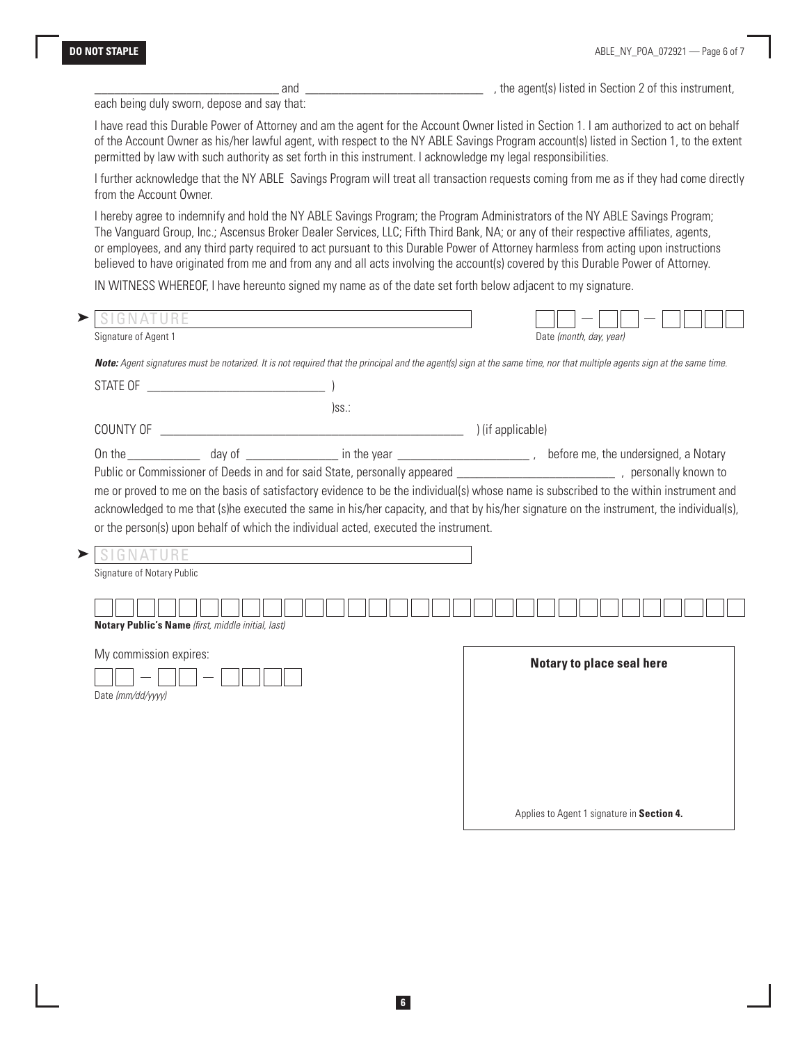\_\_\_\_\_\_\_\_\_\_\_\_\_\_\_\_\_\_\_\_\_\_\_\_\_\_\_\_ and \_\_\_\_\_\_\_\_\_\_\_\_\_\_\_\_\_\_\_\_\_\_\_\_\_\_\_ , the agent(s) listed in Section 2 of this instrument,

each being duly sworn, depose and say that:

I have read this Durable Power of Attorney and am the agent for the Account Owner listed in Section 1. I am authorized to act on behalf of the Account Owner as his/her lawful agent, with respect to the NY ABLE Savings Program account(s) listed in Section 1, to the extent permitted by law with such authority as set forth in this instrument. I acknowledge my legal responsibilities.

I further acknowledge that the NY ABLE Savings Program will treat all transaction requests coming from me as if they had come directly from the Account Owner.

I hereby agree to indemnify and hold the NY ABLE Savings Program; the Program Administrators of the NY ABLE Savings Program; The Vanguard Group, Inc.; Ascensus Broker Dealer Services, LLC; Fifth Third Bank, NA; or any of their respective affiliates, agents, or employees, and any third party required to act pursuant to this Durable Power of Attorney harmless from acting upon instructions believed to have originated from me and from any and all acts involving the account(s) covered by this Durable Power of Attorney.

IN WITNESS WHEREOF, I have hereunto signed my name as of the date set forth below adjacent to my signature.

| GNATURE                                        |                                                                                                                                                                         |          |                           |  |                         |  |  |  |  |
|------------------------------------------------|-------------------------------------------------------------------------------------------------------------------------------------------------------------------------|----------|---------------------------|--|-------------------------|--|--|--|--|
| Signature of Agent 1                           |                                                                                                                                                                         |          |                           |  | Date (month, day, year) |  |  |  |  |
|                                                | Note: Agent signatures must be notarized. It is not required that the principal and the agent(s) sign at the same time, nor that multiple agents sign at the same time. |          |                           |  |                         |  |  |  |  |
|                                                |                                                                                                                                                                         |          |                           |  |                         |  |  |  |  |
|                                                |                                                                                                                                                                         | $)$ ss.: |                           |  |                         |  |  |  |  |
| COUNTY OF                                      |                                                                                                                                                                         |          | ) (if applicable)         |  |                         |  |  |  |  |
|                                                |                                                                                                                                                                         |          |                           |  |                         |  |  |  |  |
|                                                |                                                                                                                                                                         |          |                           |  |                         |  |  |  |  |
| <b>SIGNATURE</b><br>Signature of Notary Public |                                                                                                                                                                         |          |                           |  |                         |  |  |  |  |
|                                                |                                                                                                                                                                         |          |                           |  |                         |  |  |  |  |
|                                                | Notary Public's Name (first, middle initial, last)                                                                                                                      |          |                           |  |                         |  |  |  |  |
| My commission expires:                         |                                                                                                                                                                         |          | Notary to place seal here |  |                         |  |  |  |  |
| Date (mm/dd/yyyy)                              |                                                                                                                                                                         |          |                           |  |                         |  |  |  |  |